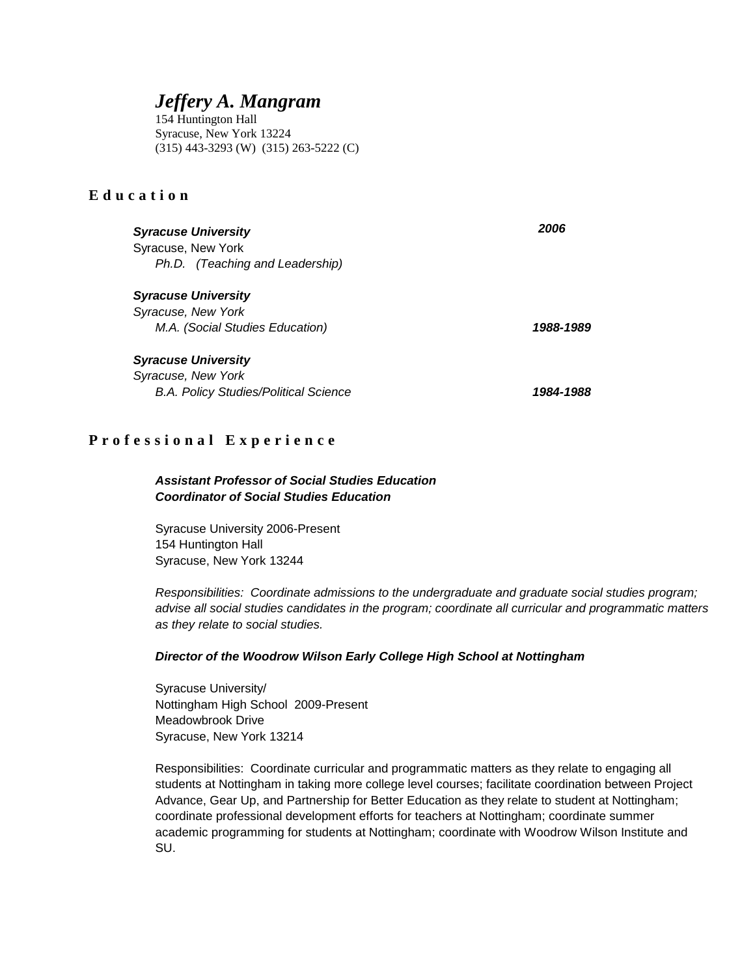# *Jeffery A. Mangram*

154 Huntington Hall Syracuse, New York 13224 (315) 443-3293 (W) (315) 263-5222 (C)

### **Education**

| <b>Syracuse University</b>                   | 2006      |
|----------------------------------------------|-----------|
| Syracuse, New York                           |           |
| Ph.D. (Teaching and Leadership)              |           |
| <b>Syracuse University</b>                   |           |
| Syracuse, New York                           |           |
| M.A. (Social Studies Education)              | 1988-1989 |
| <b>Syracuse University</b>                   |           |
| Syracuse, New York                           |           |
| <b>B.A. Policy Studies/Political Science</b> | 1984-1988 |

### **Professional Experience**

### *Assistant Professor of Social Studies Education Coordinator of Social Studies Education*

Syracuse University 2006-Present 154 Huntington Hall Syracuse, New York 13244

*Responsibilities: Coordinate admissions to the undergraduate and graduate social studies program; advise all social studies candidates in the program; coordinate all curricular and programmatic matters as they relate to social studies.* 

### *Director of the Woodrow Wilson Early College High School at Nottingham*

Syracuse University/ Nottingham High School 2009-Present Meadowbrook Drive Syracuse, New York 13214

Responsibilities: Coordinate curricular and programmatic matters as they relate to engaging all students at Nottingham in taking more college level courses; facilitate coordination between Project Advance, Gear Up, and Partnership for Better Education as they relate to student at Nottingham; coordinate professional development efforts for teachers at Nottingham; coordinate summer academic programming for students at Nottingham; coordinate with Woodrow Wilson Institute and SU.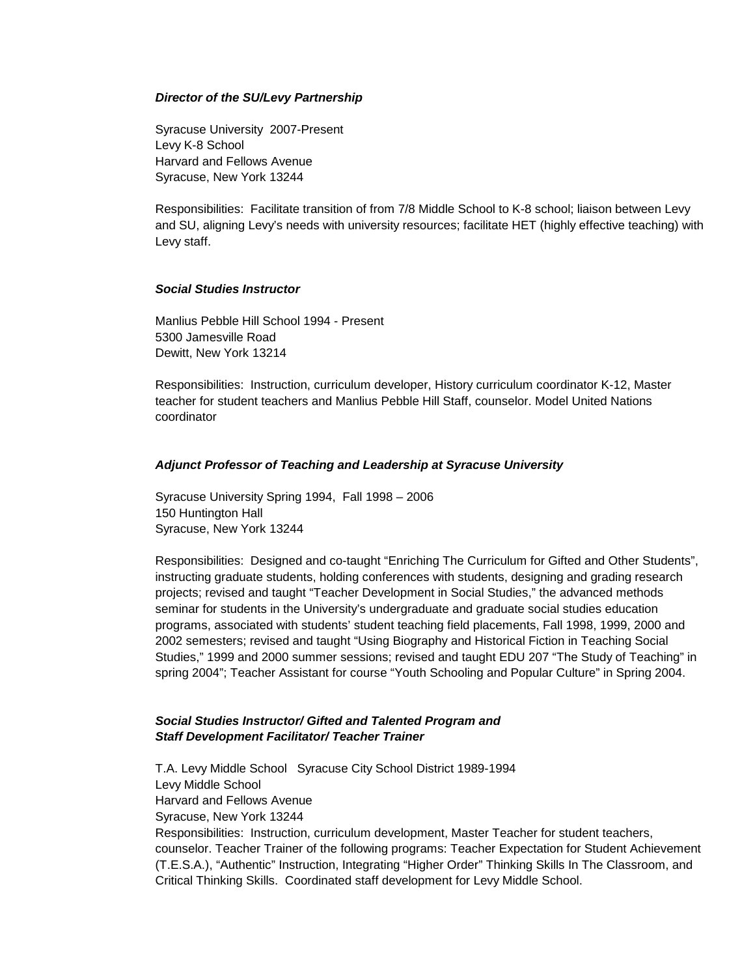#### *Director of the SU/Levy Partnership*

Syracuse University 2007-Present Levy K-8 School Harvard and Fellows Avenue Syracuse, New York 13244

Responsibilities: Facilitate transition of from 7/8 Middle School to K-8 school; liaison between Levy and SU, aligning Levy's needs with university resources; facilitate HET (highly effective teaching) with Levy staff.

### *Social Studies Instructor*

Manlius Pebble Hill School 1994 - Present 5300 Jamesville Road Dewitt, New York 13214

Responsibilities: Instruction, curriculum developer, History curriculum coordinator K-12, Master teacher for student teachers and Manlius Pebble Hill Staff, counselor. Model United Nations coordinator

### *Adjunct Professor of Teaching and Leadership at Syracuse University*

Syracuse University Spring 1994, Fall 1998 – 2006 150 Huntington Hall Syracuse, New York 13244

Responsibilities: Designed and co-taught "Enriching The Curriculum for Gifted and Other Students", instructing graduate students, holding conferences with students, designing and grading research projects; revised and taught "Teacher Development in Social Studies," the advanced methods seminar for students in the University's undergraduate and graduate social studies education programs, associated with students' student teaching field placements, Fall 1998, 1999, 2000 and 2002 semesters; revised and taught "Using Biography and Historical Fiction in Teaching Social Studies," 1999 and 2000 summer sessions; revised and taught EDU 207 "The Study of Teaching" in spring 2004"; Teacher Assistant for course "Youth Schooling and Popular Culture" in Spring 2004.

### *Social Studies Instructor/ Gifted and Talented Program and Staff Development Facilitator/ Teacher Trainer*

T.A. Levy Middle School Syracuse City School District 1989-1994 Levy Middle School Harvard and Fellows Avenue Syracuse, New York 13244 Responsibilities: Instruction, curriculum development, Master Teacher for student teachers, counselor. Teacher Trainer of the following programs: Teacher Expectation for Student Achievement (T.E.S.A.), "Authentic" Instruction, Integrating "Higher Order" Thinking Skills In The Classroom, and Critical Thinking Skills. Coordinated staff development for Levy Middle School.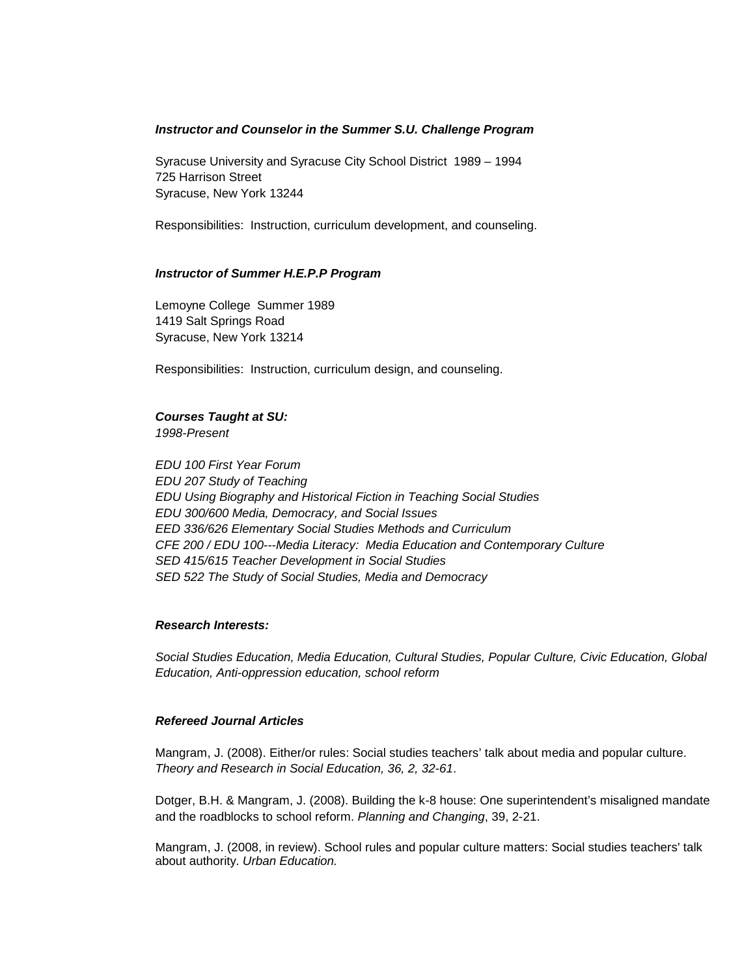### *Instructor and Counselor in the Summer S.U. Challenge Program*

Syracuse University and Syracuse City School District 1989 – 1994 725 Harrison Street Syracuse, New York 13244

Responsibilities: Instruction, curriculum development, and counseling.

#### *Instructor of Summer H.E.P.P Program*

Lemoyne College Summer 1989 1419 Salt Springs Road Syracuse, New York 13214

Responsibilities: Instruction, curriculum design, and counseling.

### *Courses Taught at SU:*

*1998-Present* 

*EDU 100 First Year Forum EDU 207 Study of Teaching EDU Using Biography and Historical Fiction in Teaching Social Studies EDU 300/600 Media, Democracy, and Social Issues EED 336/626 Elementary Social Studies Methods and Curriculum CFE 200 / EDU 100---Media Literacy: Media Education and Contemporary Culture SED 415/615 Teacher Development in Social Studies SED 522 The Study of Social Studies, Media and Democracy* 

### *Research Interests:*

*Social Studies Education, Media Education, Cultural Studies, Popular Culture, Civic Education, Global Education, Anti-oppression education, school reform* 

### *Refereed Journal Articles*

Mangram, J. (2008). Either/or rules: Social studies teachers' talk about media and popular culture. *Theory and Research in Social Education, 36, 2, 32-61*.

Dotger, B.H. & Mangram, J. (2008). Building the k-8 house: One superintendent's misaligned mandate and the roadblocks to school reform. *Planning and Changing*, 39, 2-21.

Mangram, J. (2008, in review). School rules and popular culture matters: Social studies teachers' talk about authority. *Urban Education.*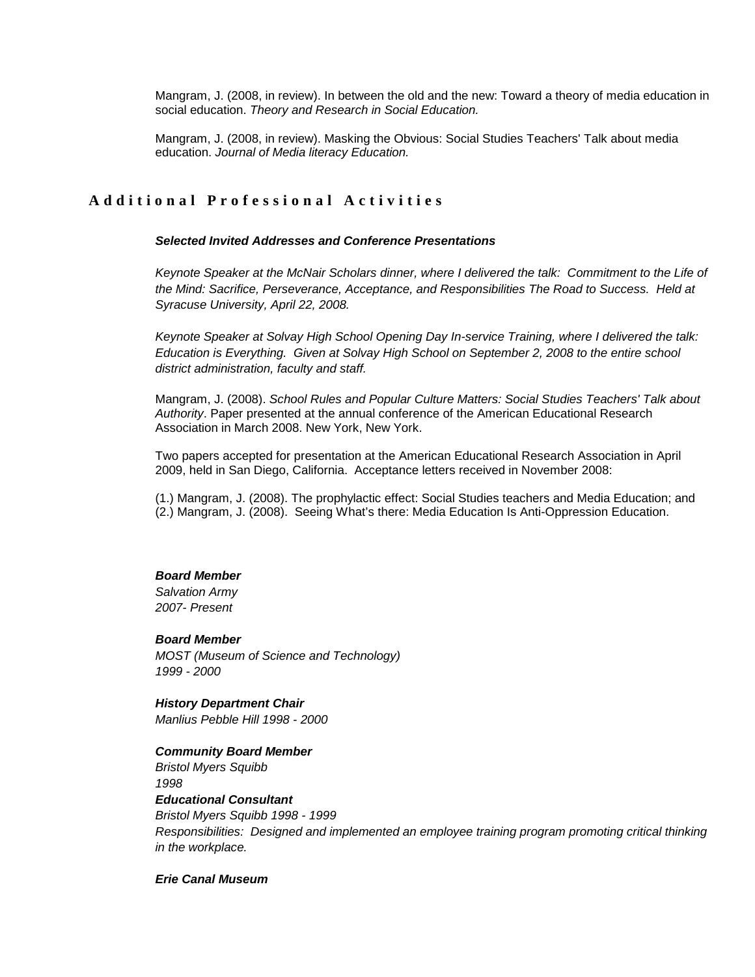Mangram, J. (2008, in review). In between the old and the new: Toward a theory of media education in social education. *Theory and Research in Social Education.* 

Mangram, J. (2008, in review). Masking the Obvious: Social Studies Teachers' Talk about media education. *Journal of Media literacy Education.*

### **Additional Professional Activities**

### *Selected Invited Addresses and Conference Presentations*

*Keynote Speaker at the McNair Scholars dinner, where I delivered the talk: Commitment to the Life of the Mind: Sacrifice, Perseverance, Acceptance, and Responsibilities The Road to Success. Held at Syracuse University, April 22, 2008.* 

*Keynote Speaker at Solvay High School Opening Day In-service Training, where I delivered the talk: Education is Everything. Given at Solvay High School on September 2, 2008 to the entire school district administration, faculty and staff.* 

Mangram, J. (2008). *School Rules and Popular Culture Matters: Social Studies Teachers' Talk about Authority*. Paper presented at the annual conference of the American Educational Research Association in March 2008. New York, New York.

Two papers accepted for presentation at the American Educational Research Association in April 2009, held in San Diego, California. Acceptance letters received in November 2008:

(1.) Mangram, J. (2008). The prophylactic effect: Social Studies teachers and Media Education; and (2.) Mangram, J. (2008). Seeing What's there: Media Education Is Anti-Oppression Education.

#### *Board Member*

*Salvation Army 2007- Present* 

#### *Board Member*

*MOST (Museum of Science and Technology) 1999 - 2000*

*History Department Chair Manlius Pebble Hill 1998 - 2000* 

*Community Board Member*

*Bristol Myers Squibb 1998* 

### *Educational Consultant*

*Bristol Myers Squibb 1998 - 1999 Responsibilities: Designed and implemented an employee training program promoting critical thinking in the workplace.* 

*Erie Canal Museum*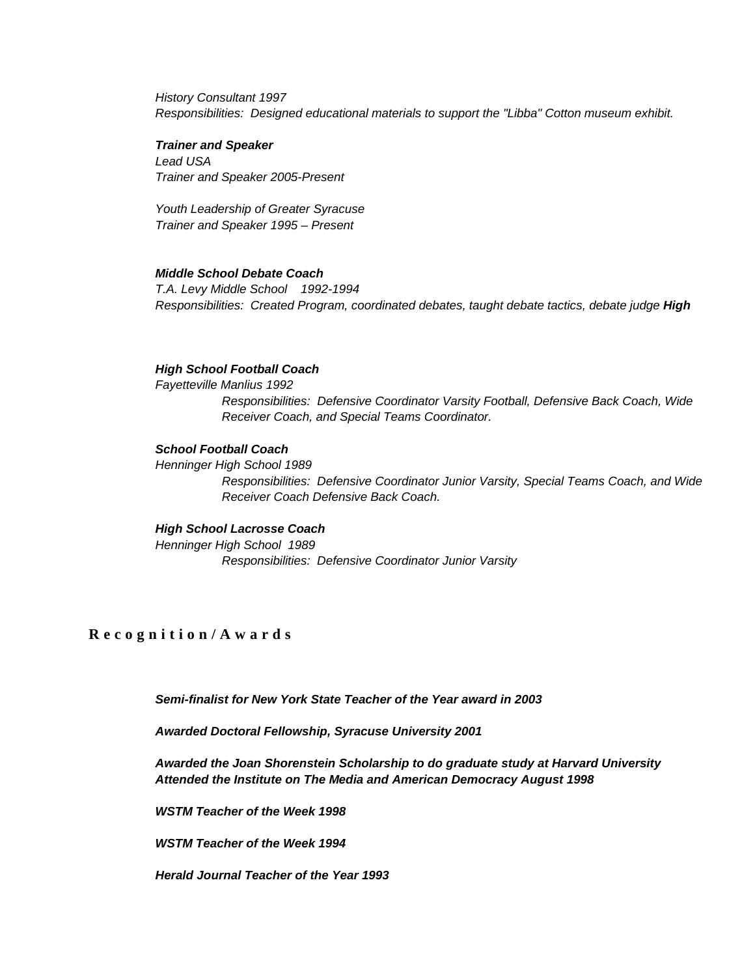*History Consultant 1997 Responsibilities: Designed educational materials to support the "Libba" Cotton museum exhibit.*

#### *Trainer and Speaker*

*Lead USA Trainer and Speaker 2005-Present* 

*Youth Leadership of Greater Syracuse Trainer and Speaker 1995 – Present*

### *Middle School Debate Coach*

*T.A. Levy Middle School 1992-1994 Responsibilities: Created Program, coordinated debates, taught debate tactics, debate judge High* 

### *High School Football Coach*

*Fayetteville Manlius 1992 Responsibilities: Defensive Coordinator Varsity Football, Defensive Back Coach, Wide Receiver Coach, and Special Teams Coordinator.* 

#### *School Football Coach*

*Henninger High School 1989 Responsibilities: Defensive Coordinator Junior Varsity, Special Teams Coach, and Wide Receiver Coach Defensive Back Coach.* 

### *High School Lacrosse Coach*

*Henninger High School 1989 Responsibilities: Defensive Coordinator Junior Varsity* 

### **Recognition/Awards**

*Semi-finalist for New York State Teacher of the Year award in 2003* 

*Awarded Doctoral Fellowship, Syracuse University 2001*

*Awarded the Joan Shorenstein Scholarship to do graduate study at Harvard University Attended the Institute on The Media and American Democracy August 1998* 

*WSTM Teacher of the Week 1998*

*WSTM Teacher of the Week 1994*

*Herald Journal Teacher of the Year 1993*